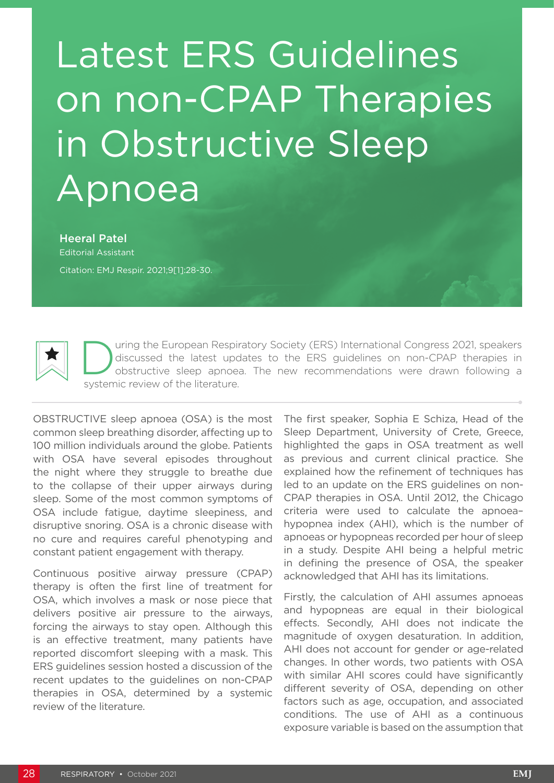## Latest ERS Guidelines on non-CPAP Therapies in Obstructive Sleep Apnoea

Heeral Patel Editorial Assistant Citation: EMJ Respir. 2021;9[1]:28-30.



Unity of the European Respiratory Society (ERS) International Congress 2021, speakers<br>discussed the latest updates to the ERS guidelines on non-CPAP therapies in<br>obstructive sleep apnoea. The new recommendations were drawn discussed the latest updates to the ERS guidelines on non-CPAP therapies in obstructive sleep apnoea. The new recommendations were drawn following a systemic review of the literature.

OBSTRUCTIVE sleep apnoea (OSA) is the most common sleep breathing disorder, affecting up to 100 million individuals around the globe. Patients with OSA have several episodes throughout the night where they struggle to breathe due to the collapse of their upper airways during sleep. Some of the most common symptoms of OSA include fatigue, daytime sleepiness, and disruptive snoring. OSA is a chronic disease with no cure and requires careful phenotyping and constant patient engagement with therapy.

Continuous positive airway pressure (CPAP) therapy is often the first line of treatment for OSA, which involves a mask or nose piece that delivers positive air pressure to the airways, forcing the airways to stay open. Although this is an effective treatment, many patients have reported discomfort sleeping with a mask. This ERS guidelines session hosted a discussion of the recent updates to the guidelines on non-CPAP therapies in OSA, determined by a systemic review of the literature.

The first speaker, Sophia E Schiza, Head of the Sleep Department, University of Crete, Greece, highlighted the gaps in OSA treatment as well as previous and current clinical practice. She explained how the refinement of techniques has led to an update on the ERS guidelines on non-CPAP therapies in OSA. Until 2012, the Chicago criteria were used to calculate the apnoea– hypopnea index (AHI), which is the number of apnoeas or hypopneas recorded per hour of sleep in a study. Despite AHI being a helpful metric in defining the presence of OSA, the speaker acknowledged that AHI has its limitations.

Firstly, the calculation of AHI assumes apnoeas and hypopneas are equal in their biological effects. Secondly, AHI does not indicate the magnitude of oxygen desaturation. In addition, AHI does not account for gender or age-related changes. In other words, two patients with OSA with similar AHI scores could have significantly different severity of OSA, depending on other factors such as age, occupation, and associated conditions. The use of AHI as a continuous exposure variable is based on the assumption that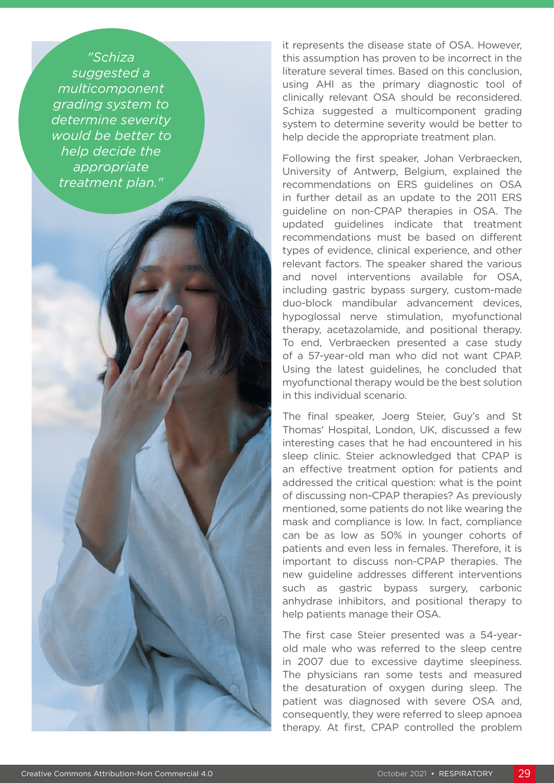*"Schiza suggested a multicomponent grading system to determine severity would be better to help decide the appropriate treatment plan."*

it represents the disease state of OSA. However, this assumption has proven to be incorrect in the literature several times. Based on this conclusion, using AHI as the primary diagnostic tool of clinically relevant OSA should be reconsidered. Schiza suggested a multicomponent grading system to determine severity would be better to help decide the appropriate treatment plan.

Following the first speaker, Johan Verbraecken, University of Antwerp, Belgium, explained the recommendations on ERS guidelines on OSA in further detail as an update to the 2011 ERS guideline on non-CPAP therapies in OSA. The updated guidelines indicate that treatment recommendations must be based on different types of evidence, clinical experience, and other relevant factors. The speaker shared the various and novel interventions available for OSA, including gastric bypass surgery, custom-made duo-block mandibular advancement devices, hypoglossal nerve stimulation, myofunctional therapy, acetazolamide, and positional therapy. To end, Verbraecken presented a case study of a 57-year-old man who did not want CPAP. Using the latest guidelines, he concluded that myofunctional therapy would be the best solution in this individual scenario.

The final speaker, Joerg Steier, Guy's and St Thomas' Hospital, London, UK, discussed a few interesting cases that he had encountered in his sleep clinic. Steier acknowledged that CPAP is an effective treatment option for patients and addressed the critical question: what is the point of discussing non-CPAP therapies? As previously mentioned, some patients do not like wearing the mask and compliance is low. In fact, compliance can be as low as 50% in younger cohorts of patients and even less in females. Therefore, it is important to discuss non-CPAP therapies. The new guideline addresses different interventions such as gastric bypass surgery, carbonic anhydrase inhibitors, and positional therapy to help patients manage their OSA.

The first case Steier presented was a 54-yearold male who was referred to the sleep centre in 2007 due to excessive daytime sleepiness. The physicians ran some tests and measured the desaturation of oxygen during sleep. The patient was diagnosed with severe OSA and, consequently, they were referred to sleep apnoea therapy. At first, CPAP controlled the problem